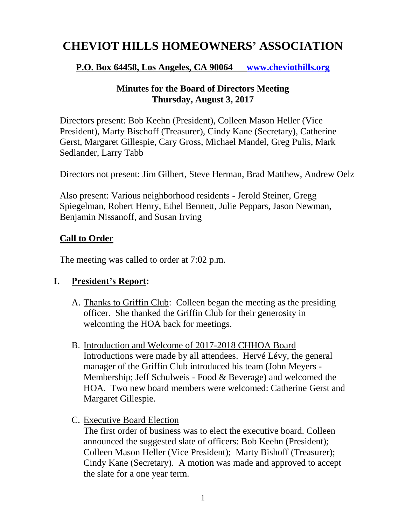# **CHEVIOT HILLS HOMEOWNERS' ASSOCIATION**

#### **P.O. Box 64458, Los Angeles, CA 90064 [www.cheviothills.org](http://www.cheviothills.org/)**

#### **Minutes for the Board of Directors Meeting Thursday, August 3, 2017**

Directors present: Bob Keehn (President), Colleen Mason Heller (Vice President), Marty Bischoff (Treasurer), Cindy Kane (Secretary), Catherine Gerst, Margaret Gillespie, Cary Gross, Michael Mandel, Greg Pulis, Mark Sedlander, Larry Tabb

Directors not present: Jim Gilbert, Steve Herman, Brad Matthew, Andrew Oelz

Also present: Various neighborhood residents - Jerold Steiner, Gregg Spiegelman, Robert Henry, Ethel Bennett, Julie Peppars, Jason Newman, Benjamin Nissanoff, and Susan Irving

### **Call to Order**

The meeting was called to order at 7:02 p.m.

#### **I. President's Report:**

- A. Thanks to Griffin Club: Colleen began the meeting as the presiding officer. She thanked the Griffin Club for their generosity in welcoming the HOA back for meetings.
- B. Introduction and Welcome of 2017-2018 CHHOA Board Introductions were made by all attendees. Hervé Lévy, the general manager of the Griffin Club introduced his team (John Meyers - Membership; Jeff Schulweis - Food & Beverage) and welcomed the HOA. Two new board members were welcomed: Catherine Gerst and Margaret Gillespie.
- C. Executive Board Election

The first order of business was to elect the executive board. Colleen announced the suggested slate of officers: Bob Keehn (President); Colleen Mason Heller (Vice President); Marty Bishoff (Treasurer); Cindy Kane (Secretary). A motion was made and approved to accept the slate for a one year term.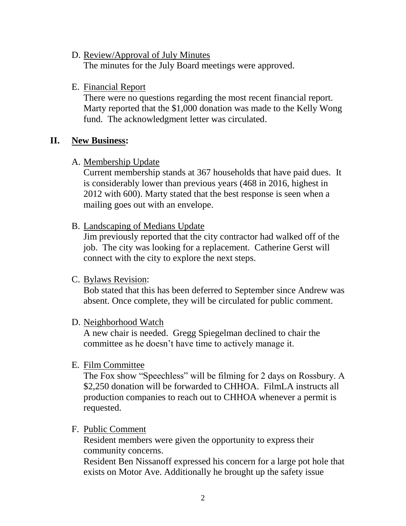D. Review/Approval of July Minutes

The minutes for the July Board meetings were approved.

E. Financial Report

There were no questions regarding the most recent financial report. Marty reported that the \$1,000 donation was made to the Kelly Wong fund. The acknowledgment letter was circulated.

### **II. New Business:**

A. Membership Update

Current membership stands at 367 households that have paid dues. It is considerably lower than previous years (468 in 2016, highest in 2012 with 600). Marty stated that the best response is seen when a mailing goes out with an envelope.

B. Landscaping of Medians Update

Jim previously reported that the city contractor had walked off of the job. The city was looking for a replacement. Catherine Gerst will connect with the city to explore the next steps.

### C. Bylaws Revision:

Bob stated that this has been deferred to September since Andrew was absent. Once complete, they will be circulated for public comment.

## D. Neighborhood Watch

A new chair is needed. Gregg Spiegelman declined to chair the committee as he doesn't have time to actively manage it.

## E. Film Committee

The Fox show "Speechless" will be filming for 2 days on Rossbury. A \$2,250 donation will be forwarded to CHHOA. FilmLA instructs all production companies to reach out to CHHOA whenever a permit is requested.

## F. Public Comment

Resident members were given the opportunity to express their community concerns.

Resident Ben Nissanoff expressed his concern for a large pot hole that exists on Motor Ave. Additionally he brought up the safety issue